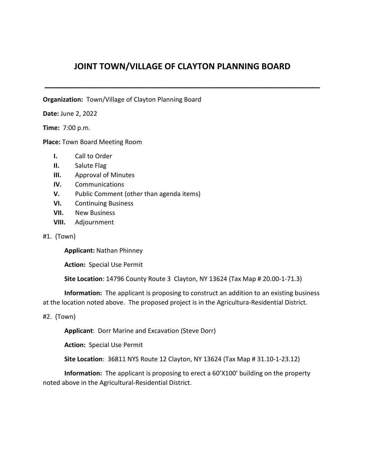## **JOINT TOWN/VILLAGE OF CLAYTON PLANNING BOARD**

**\_\_\_\_\_\_\_\_\_\_\_\_\_\_\_\_\_\_\_\_\_\_\_\_\_\_\_\_\_\_\_\_\_\_\_\_\_\_\_\_\_\_\_\_\_\_\_\_\_\_\_\_\_\_\_\_\_\_**

**Organization:** Town/Village of Clayton Planning Board

**Date:** June 2, 2022

**Time:** 7:00 p.m.

**Place:** Town Board Meeting Room

- **I.** Call to Order
- **II.** Salute Flag
- **III.** Approval of Minutes
- **IV.** Communications
- **V.** Public Comment (other than agenda items)
- **VI.** Continuing Business
- **VII.** New Business
- **VIII.** Adjournment

#1. (Town)

**Applicant:** Nathan Phinney

**Action:** Special Use Permit

**Site Location**: 14796 County Route 3 Clayton, NY 13624 (Tax Map # 20.00-1-71.3)

**Information:** The applicant is proposing to construct an addition to an existing business at the location noted above. The proposed project is in the Agricultura-Residential District.

#2. (Town)

**Applicant**: Dorr Marine and Excavation (Steve Dorr)

**Action:** Special Use Permit

**Site Location**: 36811 NYS Route 12 Clayton, NY 13624 (Tax Map # 31.10-1-23.12)

**Information:** The applicant is proposing to erect a 60'X100' building on the property noted above in the Agricultural-Residential District.